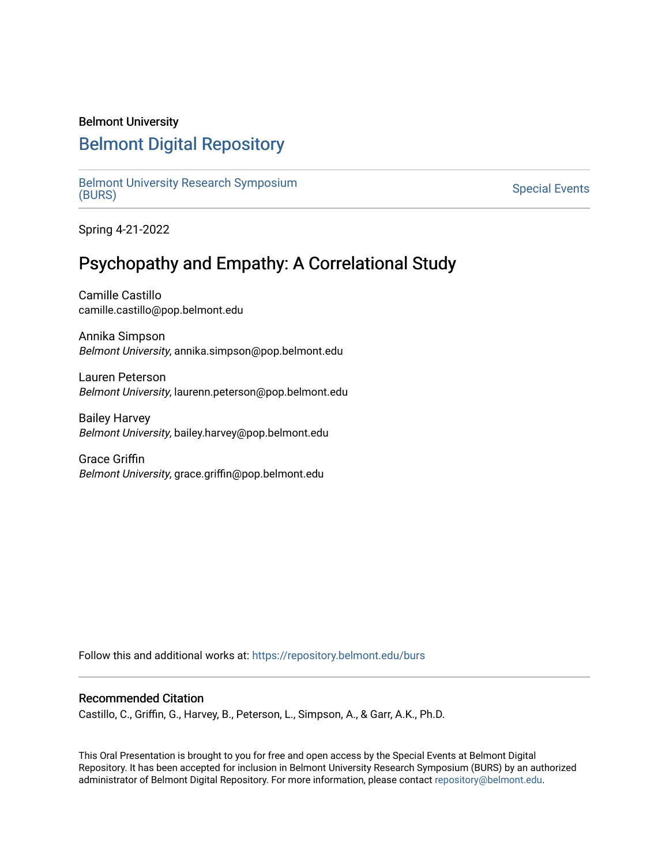### Belmont University

## [Belmont Digital Repository](https://repository.belmont.edu/)

[Belmont University Research Symposium](https://repository.belmont.edu/burs)<br>(BURS) Bernont University Research Symposium<br>[\(BURS\)](https://repository.belmont.edu/burs) Special Events

Spring 4-21-2022

# Psychopathy and Empathy: A Correlational Study

Camille Castillo camille.castillo@pop.belmont.edu

Annika Simpson Belmont University, annika.simpson@pop.belmont.edu

Lauren Peterson Belmont University, laurenn.peterson@pop.belmont.edu

Bailey Harvey Belmont University, bailey.harvey@pop.belmont.edu

Grace Griffin Belmont University, grace.griffin@pop.belmont.edu

Follow this and additional works at: [https://repository.belmont.edu/burs](https://repository.belmont.edu/burs?utm_source=repository.belmont.edu%2Fburs%2F113&utm_medium=PDF&utm_campaign=PDFCoverPages)

### Recommended Citation

Castillo, C., Griffin, G., Harvey, B., Peterson, L., Simpson, A., & Garr, A.K., Ph.D.

This Oral Presentation is brought to you for free and open access by the Special Events at Belmont Digital Repository. It has been accepted for inclusion in Belmont University Research Symposium (BURS) by an authorized administrator of Belmont Digital Repository. For more information, please contact [repository@belmont.edu](mailto:repository@belmont.edu).